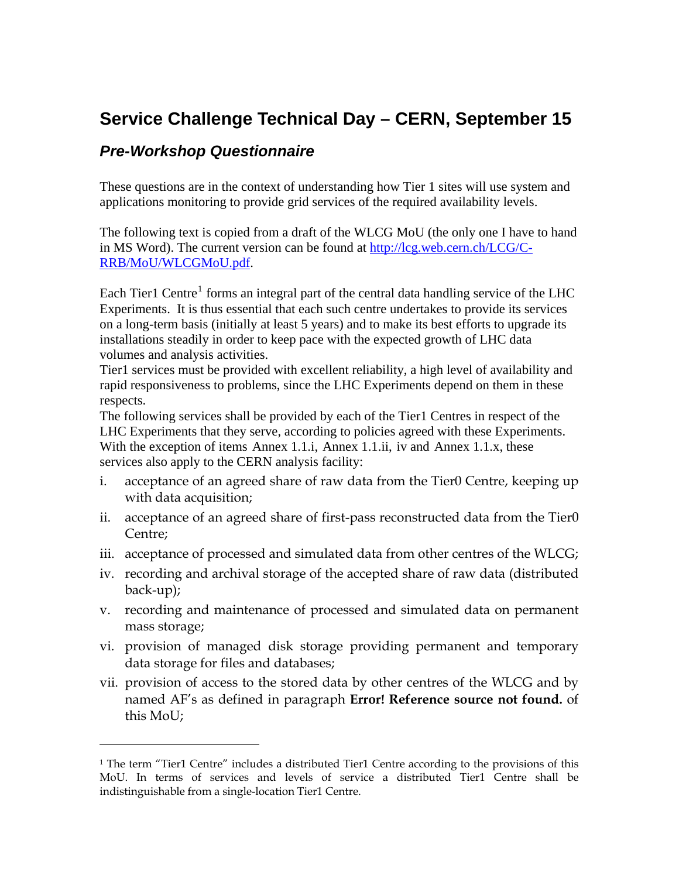## **Service Challenge Technical Day – CERN, September 15**

## *Pre-Workshop Questionnaire*

 $\overline{a}$ 

These questions are in the context of understanding how Tier 1 sites will use system and applications monitoring to provide grid services of the required availability levels.

The following text is copied from a draft of the WLCG MoU (the only one I have to hand in MS Word). The current version can be found at [http://lcg.web.cern.ch/LCG/C-](http://lcg.web.cern.ch/LCG/C-RRB/MoU/WLCGMoU.pdf)[RRB/MoU/WLCGMoU.pdf.](http://lcg.web.cern.ch/LCG/C-RRB/MoU/WLCGMoU.pdf)

Each Tier[1](#page-0-0) Centre<sup>1</sup> forms an integral part of the central data handling service of the LHC Experiments. It is thus essential that each such centre undertakes to provide its services on a long-term basis (initially at least 5 years) and to make its best efforts to upgrade its installations steadily in order to keep pace with the expected growth of LHC data volumes and analysis activities.

Tier1 services must be provided with excellent reliability, a high level of availability and rapid responsiveness to problems, since the LHC Experiments depend on them in these respects.

The following services shall be provided by each of the Tier1 Centres in respect of the LHC Experiments that they serve, according to policies agreed with these Experiments. With the exception of items [Annex 1.1.i,](#page-0-1) [Annex 1.1.ii,](#page-0-2) [iv](#page-0-3) and [Annex 1.1.x,](#page-1-0) these services also apply to the CERN analysis facility:

- <span id="page-0-1"></span>i. acceptance of an agreed share of raw data from the Tier0 Centre, keeping up with data acquisition;
- <span id="page-0-2"></span>ii. acceptance of an agreed share of first-pass reconstructed data from the Tier0 Centre;
- iii. acceptance of processed and simulated data from other centres of the WLCG;
- <span id="page-0-3"></span>iv. recording and archival storage of the accepted share of raw data (distributed back-up);
- v. recording and maintenance of processed and simulated data on permanent mass storage;
- vi. provision of managed disk storage providing permanent and temporary data storage for files and databases;
- vii. provision of access to the stored data by other centres of the WLCG and by named AF's as defined in paragraph **Error! Reference source not found.** of this MoU;

<span id="page-0-0"></span><sup>&</sup>lt;sup>1</sup> The term "Tier1 Centre" includes a distributed Tier1 Centre according to the provisions of this MoU. In terms of services and levels of service a distributed Tier1 Centre shall be indistinguishable from a single-location Tier1 Centre.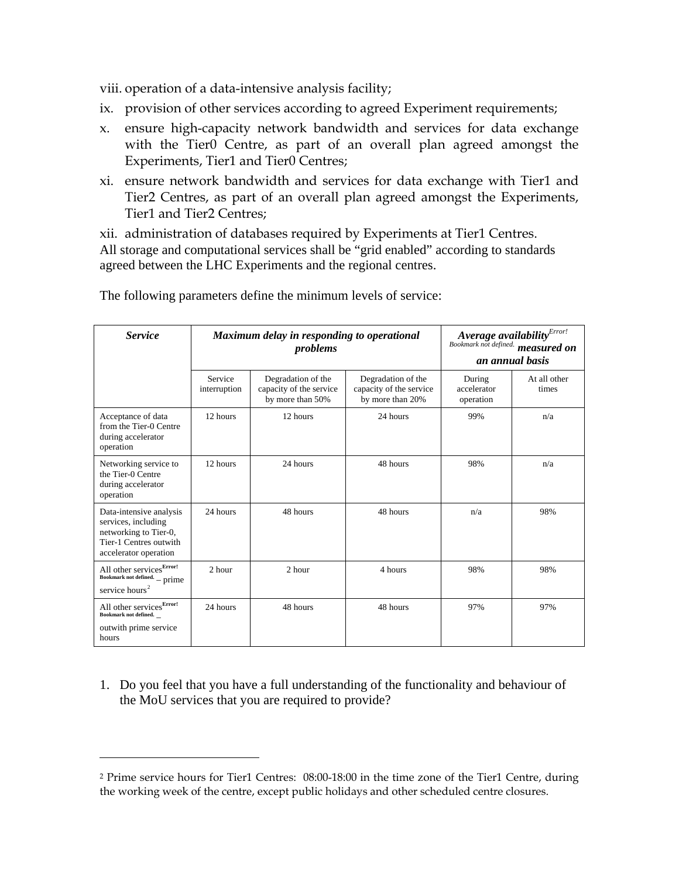viii. operation of a data-intensive analysis facility;

- ix. provision of other services according to agreed Experiment requirements;
- <span id="page-1-0"></span>x. ensure high-capacity network bandwidth and services for data exchange with the Tier0 Centre, as part of an overall plan agreed amongst the Experiments, Tier1 and Tier0 Centres;
- xi. ensure network bandwidth and services for data exchange with Tier1 and Tier2 Centres, as part of an overall plan agreed amongst the Experiments, Tier1 and Tier2 Centres;

xii. administration of databases required by Experiments at Tier1 Centres. All storage and computational services shall be "grid enabled" according to standards agreed between the LHC Experiments and the regional centres.

| <i>Service</i>                                                                                                             | Maximum delay in responding to operational<br>problems |                                                                   |                                                                   | Average availability <sup>Error!</sup><br>Bookmark not defined. measured on<br>an annual basis |                       |
|----------------------------------------------------------------------------------------------------------------------------|--------------------------------------------------------|-------------------------------------------------------------------|-------------------------------------------------------------------|------------------------------------------------------------------------------------------------|-----------------------|
|                                                                                                                            | Service<br>interruption                                | Degradation of the<br>capacity of the service<br>by more than 50% | Degradation of the<br>capacity of the service<br>by more than 20% | During<br>accelerator<br>operation                                                             | At all other<br>times |
| Acceptance of data<br>from the Tier-0 Centre<br>during accelerator<br>operation                                            | 12 hours                                               | 12 hours                                                          | 24 hours                                                          | 99%                                                                                            | n/a                   |
| Networking service to<br>the Tier-0 Centre<br>during accelerator<br>operation                                              | 12 hours                                               | 24 hours                                                          | 48 hours                                                          | 98%                                                                                            | n/a                   |
| Data-intensive analysis<br>services, including<br>networking to Tier-0,<br>Tier-1 Centres outwith<br>accelerator operation | 24 hours                                               | 48 hours                                                          | 48 hours                                                          | n/a                                                                                            | 98%                   |
| All other services <sup>Error!</sup><br>Bookmark not defined. $-$ prime<br>service hours <sup>2</sup>                      | $2$ hour                                               | $2$ hour                                                          | 4 hours                                                           | 98%                                                                                            | 98%                   |
| All other services Error!<br>Bookmark not defined.<br>outwith prime service<br>hours                                       | 24 hours                                               | 48 hours                                                          | 48 hours                                                          | 97%                                                                                            | 97%                   |

The following parameters define the minimum levels of service:

1. Do you feel that you have a full understanding of the functionality and behaviour of the MoU services that you are required to provide?

 $\overline{a}$ 

<span id="page-1-1"></span><sup>2</sup> Prime service hours for Tier1 Centres: 08:00-18:00 in the time zone of the Tier1 Centre, during the working week of the centre, except public holidays and other scheduled centre closures.